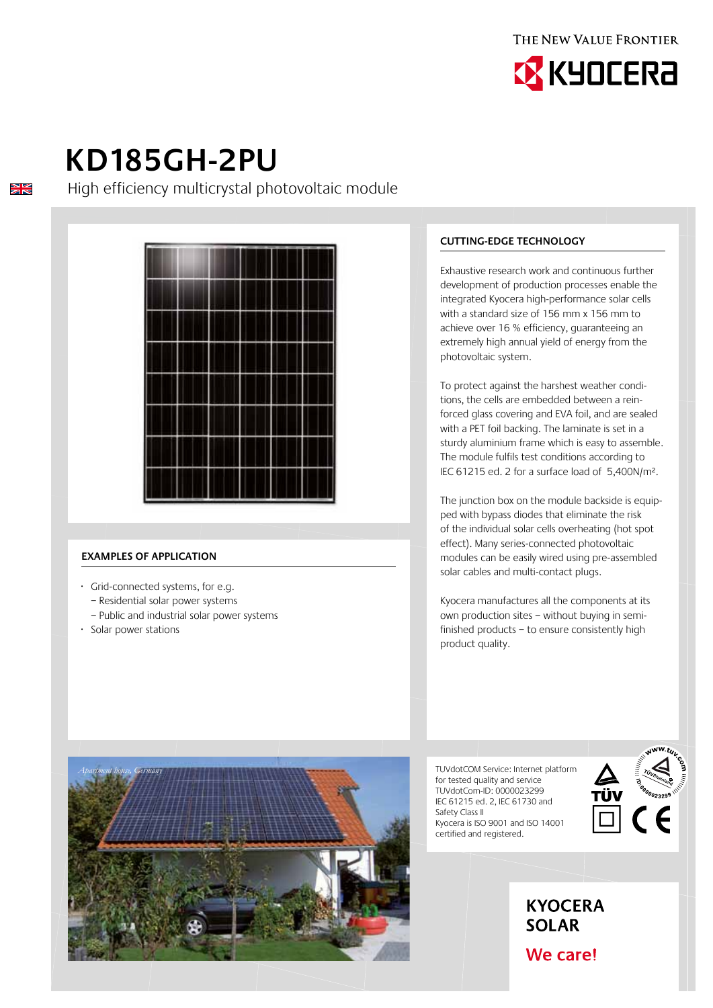



# **KD185GH-2PU**

 $\frac{\sum x}{\sum x}$ 

High efficiency multicrystal photovoltaic module



### **Examples of application**

- · Grid-connected systems, for e.g.
	- Residential solar power systems
	- Public and industrial solar power systems
- · Solar power stations

*Apartment house, Germany*

## **Cutting-edge technology**

Exhaustive research work and continuous further development of production processes enable the integrated Kyocera high-performance solar cells with a standard size of 156 mm x 156 mm to achieve over 16 % efficiency, guaranteeing an extremely high annual yield of energy from the photovoltaic system.

To protect against the harshest weather conditions, the cells are embedded between a reinforced glass covering and EVA foil, and are sealed with a PET foil backing. The laminate is set in a sturdy aluminium frame which is easy to assemble. The module fulfils test conditions according to IEC 61215 ed. 2 for a surface load of 5,400N/m².

The junction box on the module backside is equipped with bypass diodes that eliminate the risk of the individual solar cells overheating (hot spot effect). Many series-connected photovoltaic modules can be easily wired using pre-assembled solar cables and multi-contact plugs.

Kyocera manufactures all the components at its own production sites – without buying in semifinished products – to ensure consistently high product quality.

> **KYOCERA SOLAR**

We care!

TUVdotCOM Service: Internet platform for tested quality and service TUVdotCom-ID: 0000023299 IEC 61215 ed. 2, IEC 61730 and Safety Class II Kyocera is ISO 9001 and ISO 14001 certified and registered.